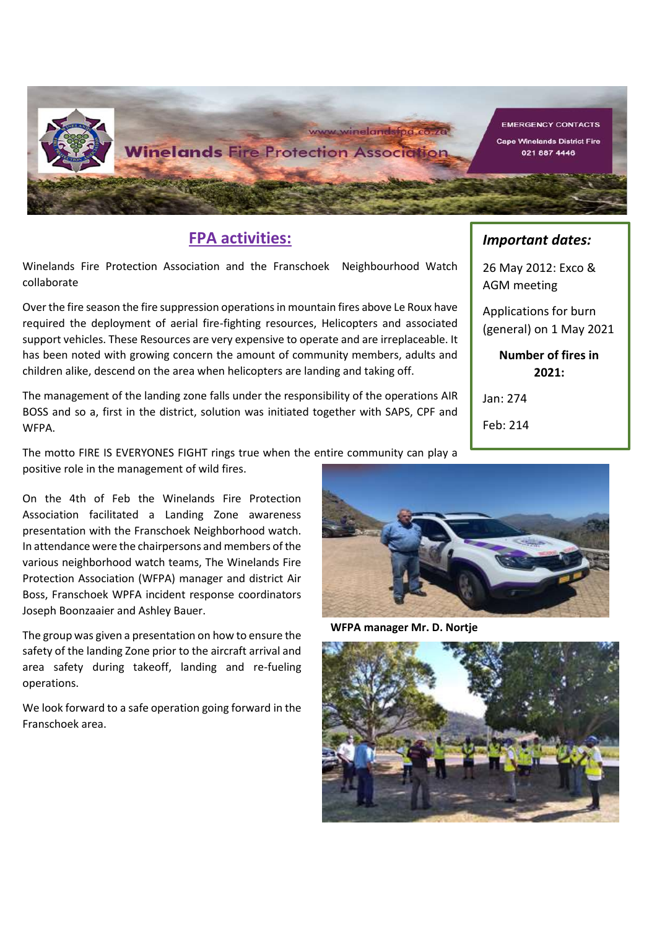

## **FPA activities:**

Winelands Fire Protection Association and the Franschoek Neighbourhood Watch collaborate

Over the fire season the fire suppression operations in mountain fires above Le Roux have required the deployment of aerial fire-fighting resources, Helicopters and associated support vehicles. These Resources are very expensive to operate and are irreplaceable. It has been noted with growing concern the amount of community members, adults and children alike, descend on the area when helicopters are landing and taking off.

The management of the landing zone falls under the responsibility of the operations AIR BOSS and so a, first in the district, solution was initiated together with SAPS, CPF and WFPA.

The motto FIRE IS EVERYONES FIGHT rings true when the entire community can play a positive role in the management of wild fires.

Association facilitated a Landing Zone awareness On the 4th of Feb the Winelands Fire Protection **Figure 2018** presentation with the Franschoek Neighborhood watch. In attendance were the chairpersons and members of the various neighborhood watch teams, The Winelands Fire Protection Association (WFPA) manager and district Air protection Association (WFPA) manager and district Air Boss, Franschoek WPFA incident response coordinators. Joseph Boonzaaier and Ashley Bauer.

The group was given a presentation on how to ensure the safety of the landing Zone prior to the aircraft arrival and area safety during takeoff, landing and re-fueling operations.

We look forward to a safe operation going forward in the Franschoek area.



WEPA mana **WFPA manager Mr. D. Nortje**



# *Important dates:*

26 May 2012: Exco & AGM meeting

Applications for burn (general) on 1 May 2021

> **Number of fires in 2021:**

Jan: 274

Feb: 214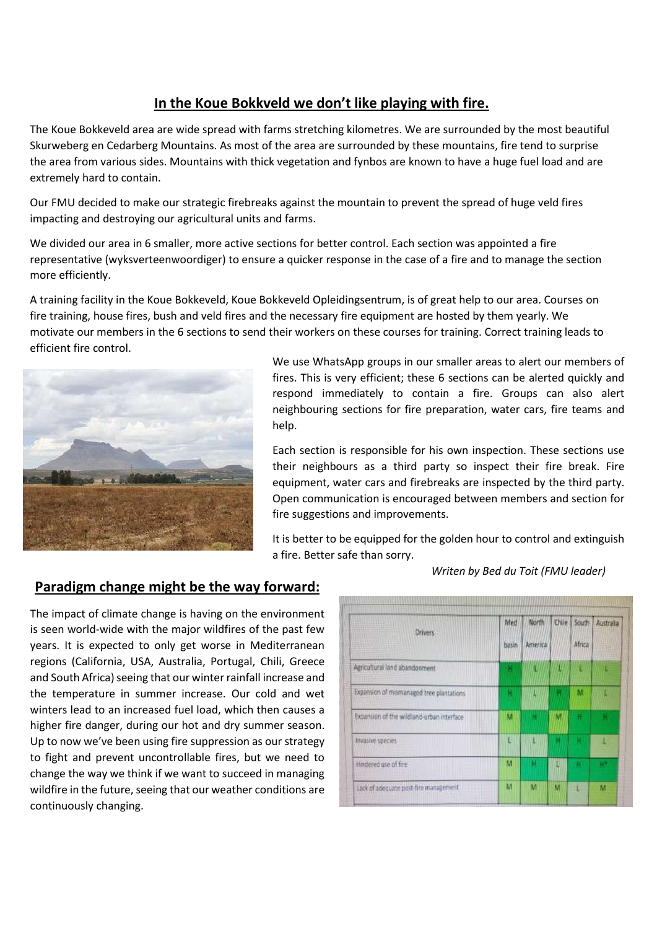## **In the Koue Bokkveld we don't like playing with fire.**

The Koue Bokkeveld area are wide spread with farms stretching kilometres. We are surrounded by the most beautiful Skurweberg en Cedarberg Mountains. As most of the area are surrounded by these mountains, fire tend to surprise the area from various sides. Mountains with thick vegetation and fynbos are known to have a huge fuel load and are extremely hard to contain.

Our FMU decided to make our strategic firebreaks against the mountain to prevent the spread of huge veld fires impacting and destroying our agricultural units and farms.

We divided our area in 6 smaller, more active sections for better control. Each section was appointed a fire representative (wyksverteenwoordiger) to ensure a quicker response in the case of a fire and to manage the section more efficiently.

A training facility in the Koue Bokkeveld, Koue Bokkeveld Opleidingsentrum, is of great help to our area. Courses on fire training, house fires, bush and veld fires and the necessary fire equipment are hosted by them yearly. We motivate our members in the 6 sections to send their workers on these courses for training. Correct training leads to efficient fire control.



We use WhatsApp groups in our smaller areas to alert our members of fires. This is very efficient; these 6 sections can be alerted quickly and respond immediately to contain a fire. Groups can also alert neighbouring sections for fire preparation, water cars, fire teams and help.

Each section is responsible for his own inspection. These sections use their neighbours as a third party so inspect their fire break. Fire equipment, water cars and firebreaks are inspected by the third party. Open communication is encouraged between members and section for fire suggestions and improvements.

It is better to be equipped for the golden hour to control and extinguish a fire. Better safe than sorry.

#### **Paradigm change might be the way forward:**

The impact of climate change is having on the environment is seen world-wide with the major wildfires of the past few years. It is expected to only get worse in Mediterranean regions (California, USA, Australia, Portugal, Chili, Greece and South Africa) seeing that our winter rainfall increase and the temperature in summer increase. Our cold and wet winters lead to an increased fuel load, which then causes a higher fire danger, during our hot and dry summer season. Up to now we've been using fire suppression as our strategy to fight and prevent uncontrollable fires, but we need to change the way we think if we want to succeed in managing wildfire in the future, seeing that our weather conditions are continuously changing.

| Drivers                                    | Med<br>basin | North<br>Americal | Chile | South:<br>Africa | Australia |
|--------------------------------------------|--------------|-------------------|-------|------------------|-----------|
| Agricultural land abandonment              | н            | п                 | π     |                  |           |
| Expansion of mismanaged tree plantations   | н            |                   | п     | м                |           |
| Expansion of the wildland-urban interface: | M            | a.                | м     | н                |           |
| Invasive species                           | 'n           |                   | н     | в                |           |
| Hindered use of fire                       | м            | н                 |       |                  | M.        |
| Lack of adequate post-fire management      | M            | м                 | M     |                  | м         |

*Writen by Bed du Toit (FMU leader)*